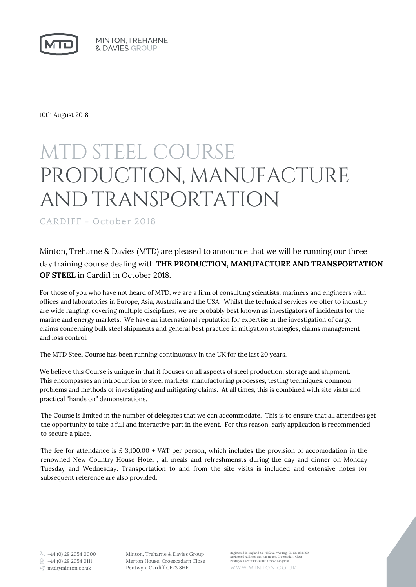MINTON, TREHARNE **& DAVIES GROUP** 

10th August 2018

### MTD STEEL COURSE PRODUCTION, MANUFACTURE AND TRANSPORTATION

CARDIFF - October 2018

Minton, Treharne & Davies (MTD) are pleased to announce that we will be running our three day training course dealing with **THE PRODUCTION, MANUFACTURE AND TRANSPORTATION OF STEEL** in Cardiff in October 2018.

For those of you who have not heard of MTD, we are a firm of consulting scientists, mariners and engineers with offices and laboratories in Europe, Asia, Australia and the USA. Whilst the technical services we offer to industry are wide ranging, covering multiple disciplines, we are probably best known as investigators of incidents for the marine and energy markets. We have an international reputation for expertise in the investigation of cargo claims concerning bulk steel shipments and general best practice in mitigation strategies, claims management and loss control.

The MTD Steel Course has been running continuously in the UK for the last 20 years.

We believe this Course is unique in that it focuses on all aspects of steel production, storage and shipment. This encompasses an introduction to steel markets, manufacturing processes, testing techniques, common problems and methods of investigating and mitigating claims. At all times, this is combined with site visits and practical "hands on" demonstrations.

The Course is limited in the number of delegates that we can accommodate. This is to ensure that all attendees get the opportunity to take a full and interactive part in the event. For this reason, early application is recommended to secure a place.

The fee for attendance is  $\text{\pounds}$  3,100.00 + VAT per person, which includes the provision of accomodation in the renowned New Country House Hotel , all meals and refreshmensts during the day and dinner on Monday Tuesday and Wednesday. Transportation to and from the site visits is included and extensive notes for subsequent reference are also provided.

 $\frac{1}{2}$  +44 (0) 29 2054 0000 +44 (0) 29 2054 0111

Minton, Treharne & Davies Group Merton House. Croescadarn Close Pentwyn. Cardiff CF23 8HF mtd@minton.co.uk www.minton.co.uk

Registered in England No: 435262. VAT Reg: GB 135 0885 69 Registered Address: Merton House. Croescadarn Close Pentwyn. Cardiff CF23 8HF. United Kingdom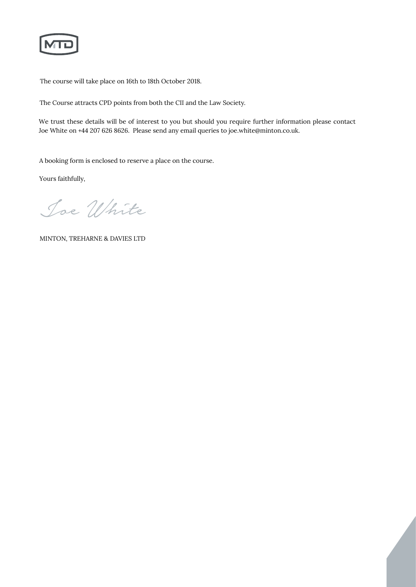The course will take place on 16th to 18th October 2018.

The Course attracts CPD points from both the CII and the Law Society.

We trust these details will be of interest to you but should you require further information please contact Joe White on +44 207 626 8626. Please send any email queries to joe.white@minton.co.uk.

A booking form is enclosed to reserve a place on the course.

Yours faithfully,

Joe White

MINTON, TREHARNE & DAVIES LTD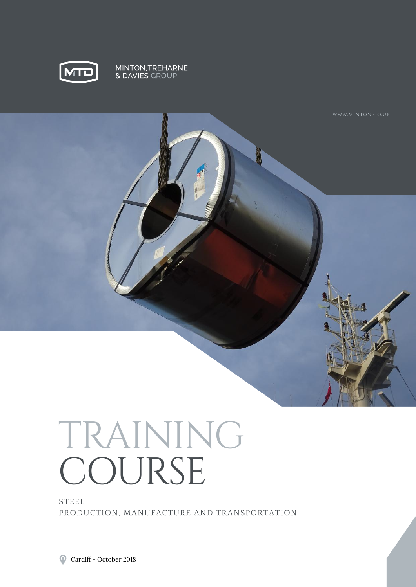

MINTON,TREHARNE<br>& DAVIES GROUP



# TRAINING COURSE

STEEL – PRODUCTION, MANUFACTURE AND TRANSPORTATION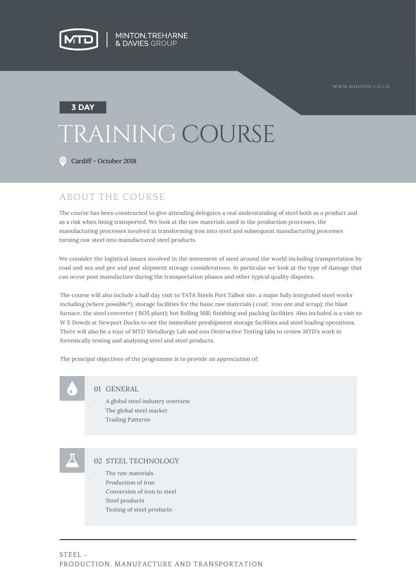

#### **3 DAY**

## TRAINING COURSE

Cardiff - October 2018

#### ABOUT THE COURSE

The course has been constructed to give attending delegates a real understanding of steel both as a product and as a risk when being transported. We look at the raw materials used in the production processes, the manufacturing processes involved in transforming iron into steel and subsequent manufacturing processes turning raw steel into manufactured steel products.

We consider the logistical issues involved in the movement of steel around the world including transportation by road and sea and pre and post shipment storage considerations. In particular we look at the type of damage that can occur post manufacture during the transportation phases and other typical quality disputes.

The course will also include a half day visit to TATA Steels Port Talbot site, a major fully integrated steel works including (where possible\*), storage facilities for the basic raw materials ( coal; iron ore and scrap); the blast furnace, the steel converter ( BOS plant); hot Rolling Mill; finishing and packing facilities. Also included is a visit to W E Dowds at Newport Docks to see the immediate preshipment storage facilities and steel loading operations. There will also be a tour of MTD Metallurgy Lab and non Destructive Testing labs to review MTD's work in forensically testing and analysing steel and steel products.

The principal objectives of the programme is to provide an appreciation of:



#### 01 GENERAL

- A global steel industry overview
- The global steel market
- Trading Patterns

#### 02 STEEL TECHNOLOGY

- The raw materials
- Production of iron
- Conversion of iron to steel
- Steel products
- Testing of steel products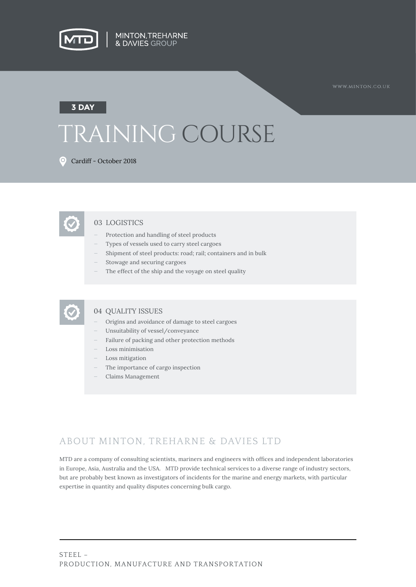

### TRAINING COURSE **3 DAY**

Cardiff - October 2018

#### 03 LOGISTICS

- Protection and handling of steel products
- Types of vessels used to carry steel cargoes
- Shipment of steel products: road; rail; containers and in bulk
- Stowage and securing cargoes
- The effect of the ship and the voyage on steel quality



#### 04 QUALITY ISSUES

- Origins and avoidance of damage to steel cargoes
- Unsuitability of vessel/conveyance
- Failure of packing and other protection methods
- Loss minimisation
- Loss mitigation
- The importance of cargo inspection
- Claims Management

### ABOUT MINTON, TREHARNE & DAVIES LTD

MTD are a company of consulting scientists, mariners and engineers with offices and independent laboratories in Europe, Asia, Australia and the USA. MTD provide technical services to a diverse range of industry sectors, but are probably best known as investigators of incidents for the marine and energy markets, with particular expertise in quantity and quality disputes concerning bulk cargo.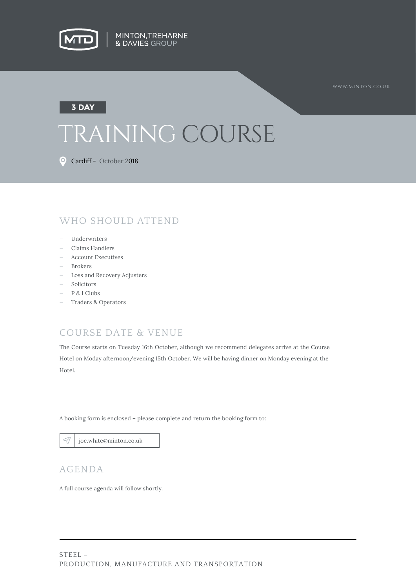

### TRAINING COURSE **3 DAY**

Cardiff - October 2018

### WHO SHOULD ATTEND

- Underwriters
- Claims Handlers
- Account Executives
- Brokers
- Loss and Recovery Adjusters
- Solicitors
- P & I Clubs
- Traders & Operators

### COURSE DATE & VENUE

The Course starts on Tuesday 16th October, although we recommend delegates arrive at the Course Hotel on Moday afternoon/evening 15th October. We will be having dinner on Monday evening at the Hotel.

A booking form is enclosed – please complete and return the booking form to:

joe.white@minton.co.uk

#### AGENDA

A full course agenda will follow shortly.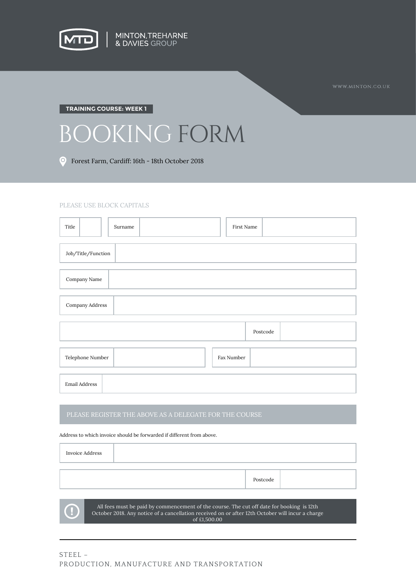

#### **TRAINING COURSE: WEEK 1**

## BOOKING FORM

Forest Farm, Cardiff: 16th - 18th October 2018

#### PLEASE USE BLOCK CAPITALS

| Title              | Surname | First Name |          |  |  |
|--------------------|---------|------------|----------|--|--|
| Job/Title/Function |         |            |          |  |  |
| Company Name       |         |            |          |  |  |
| Company Address    |         |            |          |  |  |
|                    |         |            | Postcode |  |  |
| Telephone Number   |         | Fax Number |          |  |  |
| Email Address      |         |            |          |  |  |

Address to which invoice should be forwarded if different from above.

| <b>Invoice Address</b> |                                                                                                                                                                                                               |          |  |
|------------------------|---------------------------------------------------------------------------------------------------------------------------------------------------------------------------------------------------------------|----------|--|
|                        |                                                                                                                                                                                                               |          |  |
|                        |                                                                                                                                                                                                               | Postcode |  |
|                        |                                                                                                                                                                                                               |          |  |
|                        | All fees must be paid by commencement of the course. The cut off date for booking is 12th<br>October 2018. Any notice of a cancellation received on or after 12th October will incur a charge<br>of £1,500.00 |          |  |